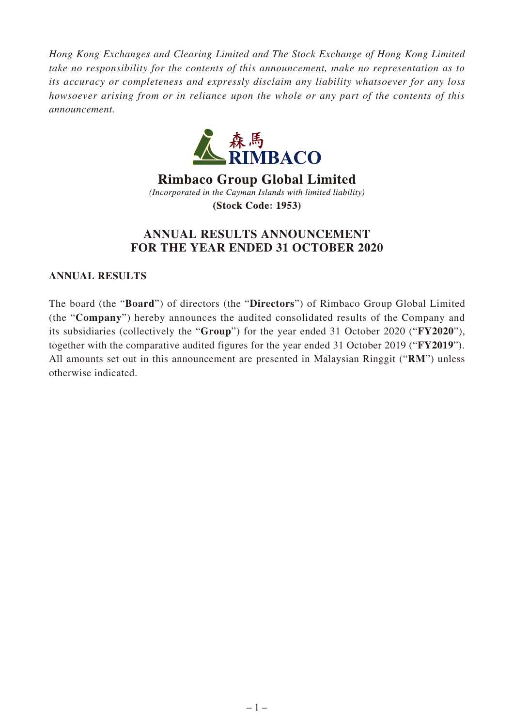*Hong Kong Exchanges and Clearing Limited and The Stock Exchange of Hong Kong Limited take no responsibility for the contents of this announcement, make no representation as to its accuracy or completeness and expressly disclaim any liability whatsoever for any loss howsoever arising from or in reliance upon the whole or any part of the contents of this announcement.*



**Rimbaco Group Global Limited** (Incorporated in the Cayman Islands with limited liability) **(Stock Code: 1953)** 

# **ANNUAL RESULTS ANNOUNCEMENT FOR THE YEAR ENDED 31 OCTOBER 2020**

**ANNUAL RESULTS**

The board (the "**Board**") of directors (the "**Directors**") of Rimbaco Group Global Limited (the "**Company**") hereby announces the audited consolidated results of the Company and its subsidiaries (collectively the "**Group**") for the year ended 31 October 2020 ("**FY2020**"), together with the comparative audited figures for the year ended 31 October 2019 ("**FY2019**"). All amounts set out in this announcement are presented in Malaysian Ringgit ("**RM**") unless otherwise indicated.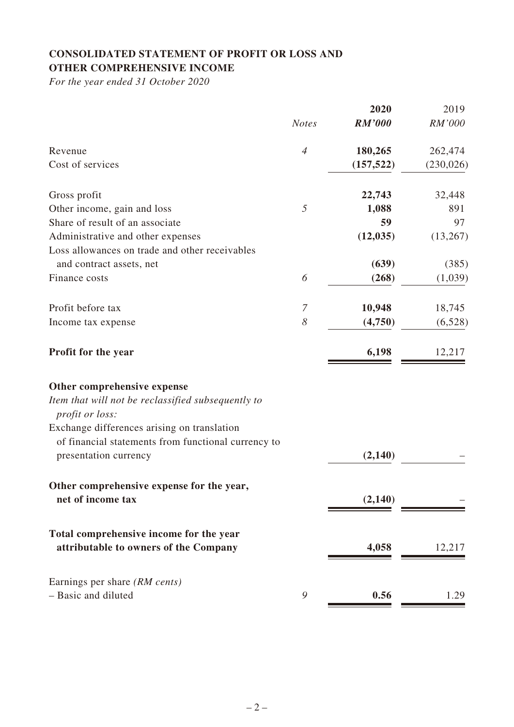# **CONSOLIDATED STATEMENT OF PROFIT OR LOSS AND OTHER COMPREHENSIVE INCOME**

*For the year ended 31 October 2020*

|                                                                              |                       | 2020          | 2019       |
|------------------------------------------------------------------------------|-----------------------|---------------|------------|
|                                                                              | <b>Notes</b>          | <b>RM'000</b> | RM'000     |
| Revenue                                                                      | $\overline{4}$        | 180,265       | 262,474    |
| Cost of services                                                             |                       | (157, 522)    | (230, 026) |
| Gross profit                                                                 |                       | 22,743        | 32,448     |
| Other income, gain and loss                                                  | 5                     | 1,088         | 891        |
| Share of result of an associate                                              |                       | 59            | 97         |
| Administrative and other expenses                                            |                       | (12, 035)     | (13,267)   |
| Loss allowances on trade and other receivables                               |                       |               |            |
| and contract assets, net                                                     |                       | (639)         | (385)      |
| Finance costs                                                                | 6                     | (268)         | (1,039)    |
| Profit before tax                                                            | 7                     | 10,948        | 18,745     |
| Income tax expense                                                           | $\boldsymbol{\delta}$ | (4,750)       | (6,528)    |
| Profit for the year                                                          |                       | 6,198         | 12,217     |
| Other comprehensive expense                                                  |                       |               |            |
| Item that will not be reclassified subsequently to<br><i>profit or loss:</i> |                       |               |            |
| Exchange differences arising on translation                                  |                       |               |            |
| of financial statements from functional currency to<br>presentation currency |                       | (2, 140)      |            |
| Other comprehensive expense for the year,                                    |                       |               |            |
| net of income tax                                                            |                       | (2,140)       |            |
| Total comprehensive income for the year                                      |                       |               |            |
| attributable to owners of the Company                                        |                       | 4,058         | 12,217     |
| Earnings per share (RM cents)                                                |                       |               |            |
| - Basic and diluted                                                          | 9                     | 0.56          | 1.29       |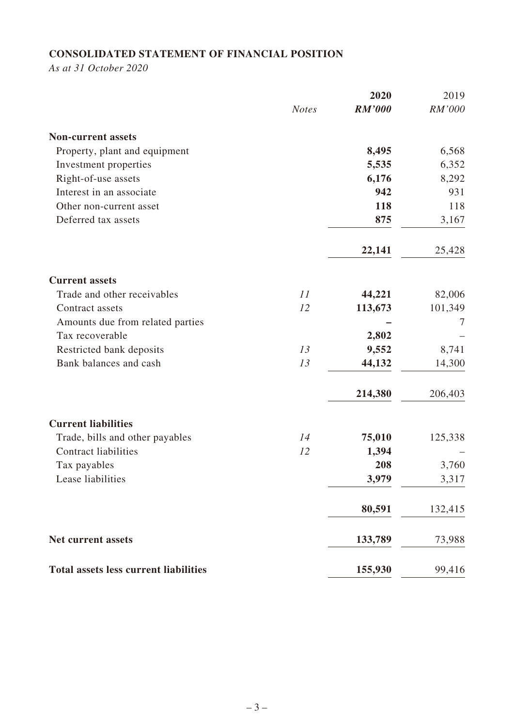# **CONSOLIDATED STATEMENT OF FINANCIAL POSITION**

*As at 31 October 2020*

|                                              |              | 2020          | 2019    |
|----------------------------------------------|--------------|---------------|---------|
|                                              | <b>Notes</b> | <b>RM'000</b> | RM'000  |
| <b>Non-current assets</b>                    |              |               |         |
| Property, plant and equipment                |              | 8,495         | 6,568   |
| Investment properties                        |              | 5,535         | 6,352   |
| Right-of-use assets                          |              | 6,176         | 8,292   |
| Interest in an associate                     |              | 942           | 931     |
| Other non-current asset                      |              | 118           | 118     |
| Deferred tax assets                          |              | 875           | 3,167   |
|                                              |              | 22,141        | 25,428  |
| <b>Current assets</b>                        |              |               |         |
| Trade and other receivables                  | 11           | 44,221        | 82,006  |
| Contract assets                              | 12           | 113,673       | 101,349 |
| Amounts due from related parties             |              |               |         |
| Tax recoverable                              |              | 2,802         |         |
| Restricted bank deposits                     | 13           | 9,552         | 8,741   |
| Bank balances and cash                       | 13           | 44,132        | 14,300  |
|                                              |              | 214,380       | 206,403 |
| <b>Current liabilities</b>                   |              |               |         |
| Trade, bills and other payables              | 14           | 75,010        | 125,338 |
| <b>Contract liabilities</b>                  | 12           | 1,394         |         |
| Tax payables                                 |              | 208           | 3,760   |
| Lease liabilities                            |              | 3,979         | 3,317   |
|                                              |              | 80,591        | 132,415 |
| <b>Net current assets</b>                    |              | 133,789       | 73,988  |
| <b>Total assets less current liabilities</b> |              | 155,930       | 99,416  |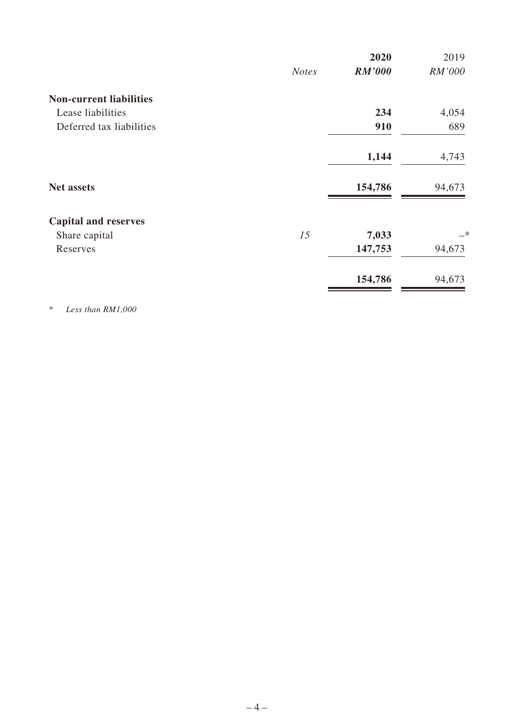|                                |              | 2020          | 2019          |
|--------------------------------|--------------|---------------|---------------|
|                                | <b>Notes</b> | <b>RM'000</b> | RM'000        |
| <b>Non-current liabilities</b> |              |               |               |
| Lease liabilities              |              | 234           | 4,054         |
| Deferred tax liabilities       |              | 910           | 689           |
|                                |              | 1,144         | 4,743         |
| <b>Net assets</b>              |              | 154,786       | 94,673        |
| <b>Capital and reserves</b>    |              |               |               |
| Share capital                  | 15           | 7,033         | $\rightarrow$ |
| Reserves                       |              | 147,753       | 94,673        |
|                                |              | 154,786       | 94,673        |
|                                |              |               |               |

\* *Less than RM1,000*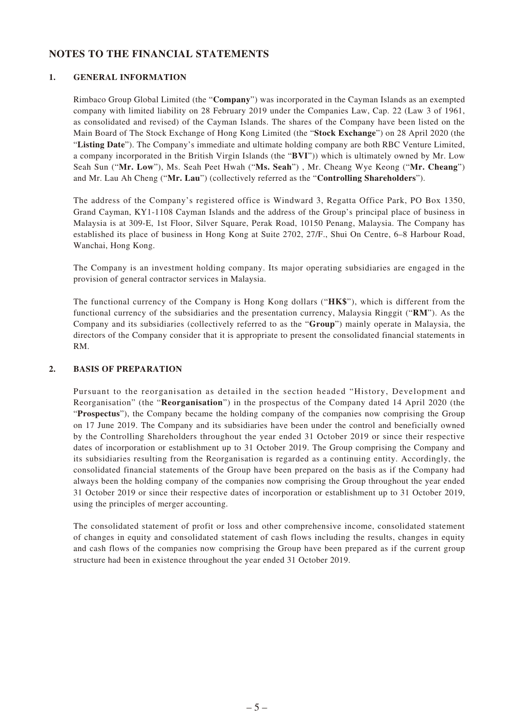### **NOTES TO THE FINANCIAL STATEMENTS**

#### **1. GENERAL INFORMATION**

Rimbaco Group Global Limited (the "**Company**") was incorporated in the Cayman Islands as an exempted company with limited liability on 28 February 2019 under the Companies Law, Cap. 22 (Law 3 of 1961, as consolidated and revised) of the Cayman Islands. The shares of the Company have been listed on the Main Board of The Stock Exchange of Hong Kong Limited (the "**Stock Exchange**") on 28 April 2020 (the "**Listing Date**"). The Company's immediate and ultimate holding company are both RBC Venture Limited, a company incorporated in the British Virgin Islands (the "**BVI**")) which is ultimately owned by Mr. Low Seah Sun ("**Mr. Low**"), Ms. Seah Peet Hwah ("**Ms. Seah**") , Mr. Cheang Wye Keong ("**Mr. Cheang**") and Mr. Lau Ah Cheng ("**Mr. Lau**") (collectively referred as the "**Controlling Shareholders**").

The address of the Company's registered office is Windward 3, Regatta Office Park, PO Box 1350, Grand Cayman, KY1-1108 Cayman Islands and the address of the Group's principal place of business in Malaysia is at 309-E, 1st Floor, Silver Square, Perak Road, 10150 Penang, Malaysia. The Company has established its place of business in Hong Kong at Suite 2702, 27/F., Shui On Centre, 6–8 Harbour Road, Wanchai, Hong Kong.

The Company is an investment holding company. Its major operating subsidiaries are engaged in the provision of general contractor services in Malaysia.

The functional currency of the Company is Hong Kong dollars ("**HK\$**"), which is different from the functional currency of the subsidiaries and the presentation currency, Malaysia Ringgit ("**RM**"). As the Company and its subsidiaries (collectively referred to as the "**Group**") mainly operate in Malaysia, the directors of the Company consider that it is appropriate to present the consolidated financial statements in RM.

#### **2. BASIS OF PREPARATION**

Pursuant to the reorganisation as detailed in the section headed "History, Development and Reorganisation" (the "**Reorganisation**") in the prospectus of the Company dated 14 April 2020 (the "**Prospectus**"), the Company became the holding company of the companies now comprising the Group on 17 June 2019. The Company and its subsidiaries have been under the control and beneficially owned by the Controlling Shareholders throughout the year ended 31 October 2019 or since their respective dates of incorporation or establishment up to 31 October 2019. The Group comprising the Company and its subsidiaries resulting from the Reorganisation is regarded as a continuing entity. Accordingly, the consolidated financial statements of the Group have been prepared on the basis as if the Company had always been the holding company of the companies now comprising the Group throughout the year ended 31 October 2019 or since their respective dates of incorporation or establishment up to 31 October 2019, using the principles of merger accounting.

The consolidated statement of profit or loss and other comprehensive income, consolidated statement of changes in equity and consolidated statement of cash flows including the results, changes in equity and cash flows of the companies now comprising the Group have been prepared as if the current group structure had been in existence throughout the year ended 31 October 2019.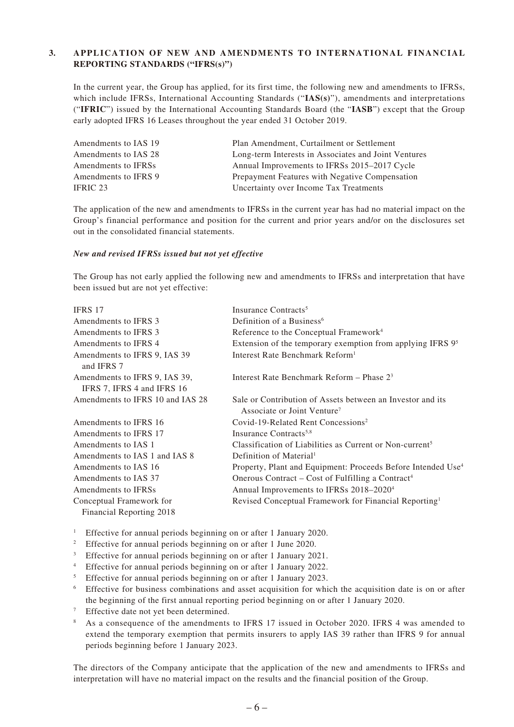#### **3. APPLICATION OF NEW AND AMENDMENTS TO INTERNATIONAL FINANCIAL REPORTING STANDARDS ("IFRS(s)")**

In the current year, the Group has applied, for its first time, the following new and amendments to IFRSs, which include IFRSs, International Accounting Standards ("**IAS(s)**"), amendments and interpretations ("**IFRIC**") issued by the International Accounting Standards Board (the "**IASB**") except that the Group early adopted IFRS 16 Leases throughout the year ended 31 October 2019.

| Amendments to IAS 19 | Plan Amendment, Curtailment or Settlement            |
|----------------------|------------------------------------------------------|
| Amendments to IAS 28 | Long-term Interests in Associates and Joint Ventures |
| Amendments to IFRSs  | Annual Improvements to IFRSs 2015–2017 Cycle         |
| Amendments to IFRS 9 | Prepayment Features with Negative Compensation       |
| IFRIC 23             | Uncertainty over Income Tax Treatments               |

The application of the new and amendments to IFRSs in the current year has had no material impact on the Group's financial performance and position for the current and prior years and/or on the disclosures set out in the consolidated financial statements.

#### *New and revised IFRSs issued but not yet effective*

The Group has not early applied the following new and amendments to IFRSs and interpretation that have been issued but are not yet effective:

| <b>IFRS 17</b>                                              | Insurance Contracts <sup>5</sup>                                                                      |
|-------------------------------------------------------------|-------------------------------------------------------------------------------------------------------|
| Amendments to IFRS 3                                        | Definition of a Business <sup>6</sup>                                                                 |
| Amendments to IFRS 3                                        | Reference to the Conceptual Framework <sup>4</sup>                                                    |
| Amendments to IFRS 4                                        | Extension of the temporary exemption from applying IFRS 9 <sup>5</sup>                                |
| Amendments to IFRS 9, IAS 39<br>and IFRS 7                  | Interest Rate Benchmark Reform <sup>1</sup>                                                           |
| Amendments to IFRS 9, IAS 39,<br>IFRS 7, IFRS 4 and IFRS 16 | Interest Rate Benchmark Reform – Phase $2^3$                                                          |
| Amendments to IFRS 10 and IAS 28                            | Sale or Contribution of Assets between an Investor and its<br>Associate or Joint Venture <sup>7</sup> |
| Amendments to IFRS 16                                       | Covid-19-Related Rent Concessions <sup>2</sup>                                                        |
| Amendments to IFRS 17                                       | Insurance Contracts <sup>5,8</sup>                                                                    |
| Amendments to IAS 1                                         | Classification of Liabilities as Current or Non-current <sup>5</sup>                                  |
| Amendments to IAS 1 and IAS 8                               | Definition of Material <sup>1</sup>                                                                   |
| Amendments to IAS 16                                        | Property, Plant and Equipment: Proceeds Before Intended Use <sup>4</sup>                              |
| Amendments to IAS 37                                        | Onerous Contract – Cost of Fulfilling a Contract <sup>4</sup>                                         |
| Amendments to IFRSs                                         | Annual Improvements to IFRSs 2018-2020 <sup>4</sup>                                                   |
| Conceptual Framework for                                    | Revised Conceptual Framework for Financial Reporting <sup>1</sup>                                     |
| Financial Reporting 2018                                    |                                                                                                       |

<sup>1</sup> Effective for annual periods beginning on or after 1 January 2020.

- <sup>2</sup> Effective for annual periods beginning on or after 1 June 2020.
- <sup>3</sup> Effective for annual periods beginning on or after 1 January 2021.
- <sup>4</sup> Effective for annual periods beginning on or after 1 January 2022.
- <sup>5</sup> Effective for annual periods beginning on or after 1 January 2023.
- <sup>6</sup> Effective for business combinations and asset acquisition for which the acquisition date is on or after the beginning of the first annual reporting period beginning on or after 1 January 2020.
- Effective date not yet been determined.
- <sup>8</sup> As a consequence of the amendments to IFRS 17 issued in October 2020. IFRS 4 was amended to extend the temporary exemption that permits insurers to apply IAS 39 rather than IFRS 9 for annual periods beginning before 1 January 2023.

The directors of the Company anticipate that the application of the new and amendments to IFRSs and interpretation will have no material impact on the results and the financial position of the Group.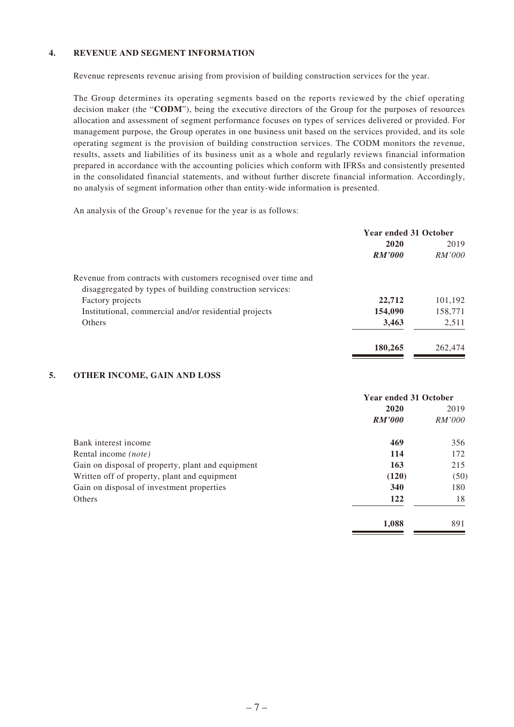#### **4. REVENUE AND SEGMENT INFORMATION**

Revenue represents revenue arising from provision of building construction services for the year.

The Group determines its operating segments based on the reports reviewed by the chief operating decision maker (the "**CODM**"), being the executive directors of the Group for the purposes of resources allocation and assessment of segment performance focuses on types of services delivered or provided. For management purpose, the Group operates in one business unit based on the services provided, and its sole operating segment is the provision of building construction services. The CODM monitors the revenue, results, assets and liabilities of its business unit as a whole and regularly reviews financial information prepared in accordance with the accounting policies which conform with IFRSs and consistently presented in the consolidated financial statements, and without further discrete financial information. Accordingly, no analysis of segment information other than entity-wide information is presented.

An analysis of the Group's revenue for the year is as follows:

|                                                                | <b>Year ended 31 October</b> |         |
|----------------------------------------------------------------|------------------------------|---------|
|                                                                | 2020                         | 2019    |
|                                                                | RM'000                       | RM'000  |
| Revenue from contracts with customers recognised over time and |                              |         |
| disaggregated by types of building construction services:      |                              |         |
| Factory projects                                               | 22,712                       | 101,192 |
| Institutional, commercial and/or residential projects          | 154,090                      | 158,771 |
| Others                                                         | 3,463                        | 2,511   |
|                                                                | 180,265                      | 262,474 |

#### **5. OTHER INCOME, GAIN AND LOSS**

|                                                   | <b>Year ended 31 October</b> |        |
|---------------------------------------------------|------------------------------|--------|
|                                                   | 2020                         | 2019   |
|                                                   | RM'000                       | RM'000 |
| Bank interest income                              | 469                          | 356    |
| Rental income <i>(note)</i>                       | 114                          | 172    |
| Gain on disposal of property, plant and equipment | 163                          | 215    |
| Written off of property, plant and equipment      | (120)                        | (50)   |
| Gain on disposal of investment properties         | 340                          | 180    |
| Others                                            | 122                          | 18     |
|                                                   | 1,088                        | 891    |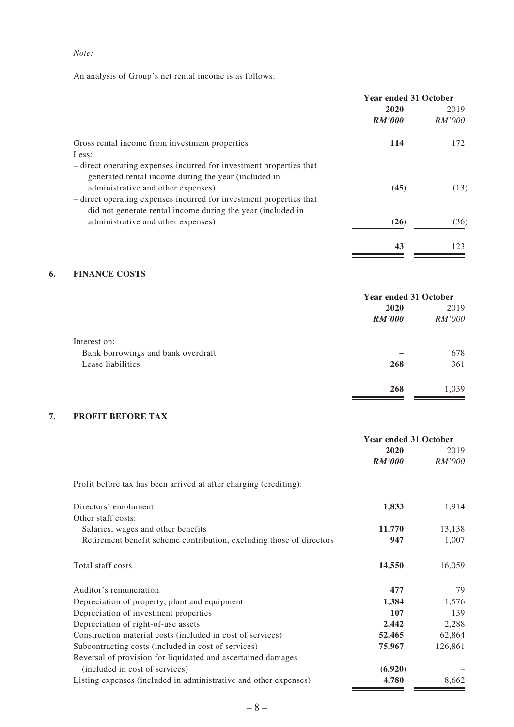#### *Note:*

An analysis of Group's net rental income is as follows:

|                                                                                                                                                                          | <b>Year ended 31 October</b> |                       |
|--------------------------------------------------------------------------------------------------------------------------------------------------------------------------|------------------------------|-----------------------|
|                                                                                                                                                                          | 2020<br>RM'000               | 2019<br><i>RM'000</i> |
| Gross rental income from investment properties                                                                                                                           | 114                          | 172                   |
| Less:                                                                                                                                                                    |                              |                       |
| - direct operating expenses incurred for investment properties that<br>generated rental income during the year (included in<br>administrative and other expenses)        | (45)                         | (13)                  |
| - direct operating expenses incurred for investment properties that<br>did not generate rental income during the year (included in<br>administrative and other expenses) | (26)                         | (36)                  |
|                                                                                                                                                                          |                              |                       |
|                                                                                                                                                                          | 43                           | 123                   |

## **6. FINANCE COSTS**

|                                    | <b>Year ended 31 October</b> |               |
|------------------------------------|------------------------------|---------------|
|                                    | 2020                         | 2019          |
|                                    | RM'000                       | <i>RM'000</i> |
| Interest on:                       |                              |               |
| Bank borrowings and bank overdraft |                              | 678           |
| Lease liabilities                  | 268                          | 361           |
|                                    | 268                          | 1,039         |

#### **7. PROFIT BEFORE TAX**

|                                                                      | <b>Year ended 31 October</b> |         |
|----------------------------------------------------------------------|------------------------------|---------|
|                                                                      | 2020                         | 2019    |
|                                                                      | <b>RM'000</b>                | RM'000  |
| Profit before tax has been arrived at after charging (crediting):    |                              |         |
| Directors' emolument                                                 | 1,833                        | 1,914   |
| Other staff costs:                                                   |                              |         |
| Salaries, wages and other benefits                                   | 11,770                       | 13,138  |
| Retirement benefit scheme contribution, excluding those of directors | 947                          | 1,007   |
| Total staff costs                                                    | 14,550                       | 16,059  |
| Auditor's remuneration                                               | 477                          | 79      |
| Depreciation of property, plant and equipment                        | 1,384                        | 1,576   |
| Depreciation of investment properties                                | 107                          | 139     |
| Depreciation of right-of-use assets                                  | 2,442                        | 2,288   |
| Construction material costs (included in cost of services)           | 52,465                       | 62,864  |
| Subcontracting costs (included in cost of services)                  | 75,967                       | 126,861 |
| Reversal of provision for liquidated and ascertained damages         |                              |         |
| (included in cost of services)                                       | (6,920)                      |         |
| Listing expenses (included in administrative and other expenses)     | 4,780                        | 8,662   |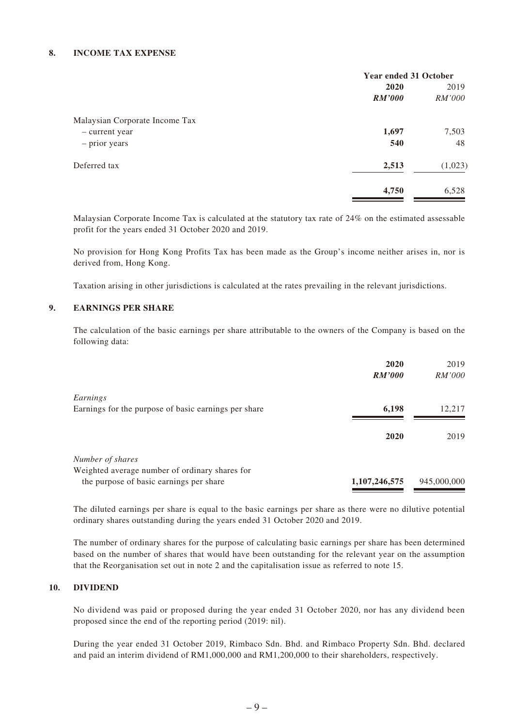#### **8. INCOME TAX EXPENSE**

|                                | <b>Year ended 31 October</b> |               |
|--------------------------------|------------------------------|---------------|
|                                | 2020                         | 2019          |
|                                | <i>RM'000</i>                | <i>RM'000</i> |
| Malaysian Corporate Income Tax |                              |               |
| - current year                 | 1,697                        | 7,503         |
| - prior years                  | 540                          | 48            |
| Deferred tax                   | 2,513                        | (1,023)       |
|                                | 4,750                        | 6,528         |

Malaysian Corporate Income Tax is calculated at the statutory tax rate of 24% on the estimated assessable profit for the years ended 31 October 2020 and 2019.

No provision for Hong Kong Profits Tax has been made as the Group's income neither arises in, nor is derived from, Hong Kong.

Taxation arising in other jurisdictions is calculated at the rates prevailing in the relevant jurisdictions.

#### **9. EARNINGS PER SHARE**

The calculation of the basic earnings per share attributable to the owners of the Company is based on the following data:

|                                                      | 2020          | 2019        |
|------------------------------------------------------|---------------|-------------|
|                                                      | <b>RM'000</b> | RM'000      |
| Earnings                                             |               |             |
| Earnings for the purpose of basic earnings per share | 6,198         | 12,217      |
|                                                      |               |             |
|                                                      | 2020          | 2019        |
| Number of shares                                     |               |             |
| Weighted average number of ordinary shares for       |               |             |
| the purpose of basic earnings per share              | 1,107,246,575 | 945,000,000 |

The diluted earnings per share is equal to the basic earnings per share as there were no dilutive potential ordinary shares outstanding during the years ended 31 October 2020 and 2019.

The number of ordinary shares for the purpose of calculating basic earnings per share has been determined based on the number of shares that would have been outstanding for the relevant year on the assumption that the Reorganisation set out in note 2 and the capitalisation issue as referred to note 15.

#### **10. DIVIDEND**

No dividend was paid or proposed during the year ended 31 October 2020, nor has any dividend been proposed since the end of the reporting period (2019: nil).

During the year ended 31 October 2019, Rimbaco Sdn. Bhd. and Rimbaco Property Sdn. Bhd. declared and paid an interim dividend of RM1,000,000 and RM1,200,000 to their shareholders, respectively.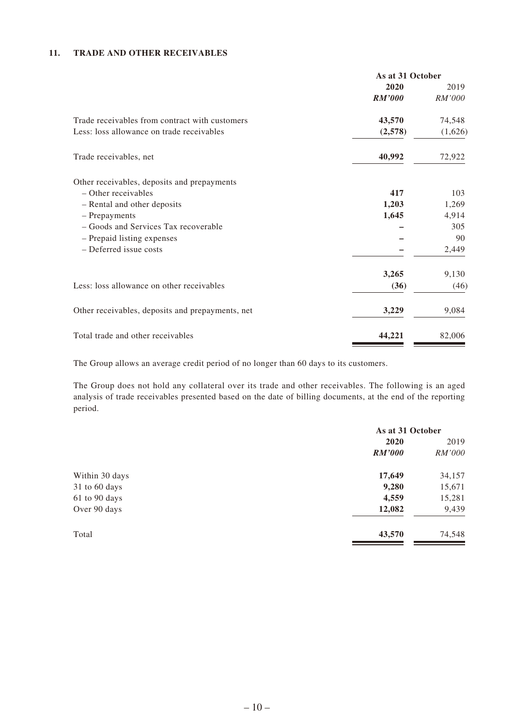#### **11. TRADE AND OTHER RECEIVABLES**

|                                                  | As at 31 October |         |
|--------------------------------------------------|------------------|---------|
|                                                  | 2020             | 2019    |
|                                                  | <b>RM'000</b>    | RM'000  |
| Trade receivables from contract with customers   | 43,570           | 74,548  |
| Less: loss allowance on trade receivables        | (2,578)          | (1,626) |
| Trade receivables, net                           | 40,992           | 72,922  |
| Other receivables, deposits and prepayments      |                  |         |
| $-$ Other receivables                            | 417              | 103     |
| - Rental and other deposits                      | 1,203            | 1,269   |
| - Prepayments                                    | 1,645            | 4,914   |
| - Goods and Services Tax recoverable             |                  | 305     |
| - Prepaid listing expenses                       |                  | 90      |
| - Deferred issue costs                           |                  | 2,449   |
|                                                  | 3,265            | 9,130   |
| Less: loss allowance on other receivables        | (36)             | (46)    |
| Other receivables, deposits and prepayments, net | 3,229            | 9,084   |
| Total trade and other receivables                | 44,221           | 82,006  |

The Group allows an average credit period of no longer than 60 days to its customers.

The Group does not hold any collateral over its trade and other receivables. The following is an aged analysis of trade receivables presented based on the date of billing documents, at the end of the reporting period.

|                | As at 31 October |               |  |
|----------------|------------------|---------------|--|
|                | 2020             | 2019          |  |
|                | <i>RM'000</i>    | <i>RM'000</i> |  |
| Within 30 days | 17,649           | 34,157        |  |
| 31 to 60 days  | 9,280            | 15,671        |  |
| 61 to 90 days  | 4,559            | 15,281        |  |
| Over 90 days   | 12,082           | 9,439         |  |
| Total          | 43,570           | 74,548        |  |
|                |                  |               |  |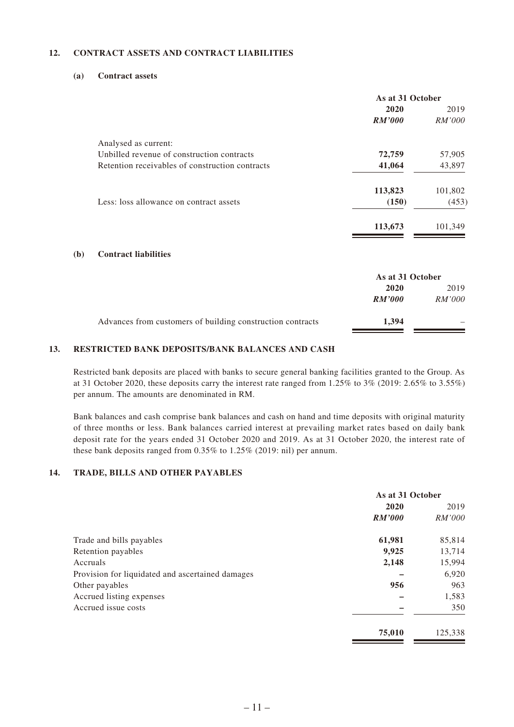#### **12. CONTRACT ASSETS AND CONTRACT LIABILITIES**

#### **(a) Contract assets**

**(b) Contract liabilities**

|                                                            | As at 31 October |         |
|------------------------------------------------------------|------------------|---------|
|                                                            | 2020             | 2019    |
|                                                            | <b>RM'000</b>    | RM'000  |
| Analysed as current:                                       |                  |         |
| Unbilled revenue of construction contracts                 | 72,759           | 57,905  |
| Retention receivables of construction contracts            | 41,064           | 43,897  |
|                                                            | 113,823          | 101,802 |
| Less: loss allowance on contract assets                    | (150)            | (453)   |
|                                                            | 113,673          | 101,349 |
| <b>Contract liabilities</b>                                |                  |         |
|                                                            | As at 31 October |         |
|                                                            | 2020             | 2019    |
|                                                            | <i>RM'000</i>    | RM'000  |
| Advances from customers of building construction contracts | 1,394            |         |

#### **13. RESTRICTED BANK DEPOSITS/BANK BALANCES AND CASH**

Restricted bank deposits are placed with banks to secure general banking facilities granted to the Group. As at 31 October 2020, these deposits carry the interest rate ranged from 1.25% to 3% (2019: 2.65% to 3.55%) per annum. The amounts are denominated in RM.

Bank balances and cash comprise bank balances and cash on hand and time deposits with original maturity of three months or less. Bank balances carried interest at prevailing market rates based on daily bank deposit rate for the years ended 31 October 2020 and 2019. As at 31 October 2020, the interest rate of these bank deposits ranged from 0.35% to 1.25% (2019: nil) per annum.

#### **14. TRADE, BILLS AND OTHER PAYABLES**

|                                                  | As at 31 October |               |
|--------------------------------------------------|------------------|---------------|
|                                                  | 2020             | 2019          |
|                                                  | <b>RM'000</b>    | <i>RM'000</i> |
| Trade and bills payables                         | 61,981           | 85,814        |
| Retention payables                               | 9,925            | 13,714        |
| Accruals                                         | 2,148            | 15,994        |
| Provision for liquidated and ascertained damages |                  | 6,920         |
| Other payables                                   | 956              | 963           |
| Accrued listing expenses                         |                  | 1,583         |
| Accrued issue costs                              |                  | 350           |
|                                                  | 75,010           | 125,338       |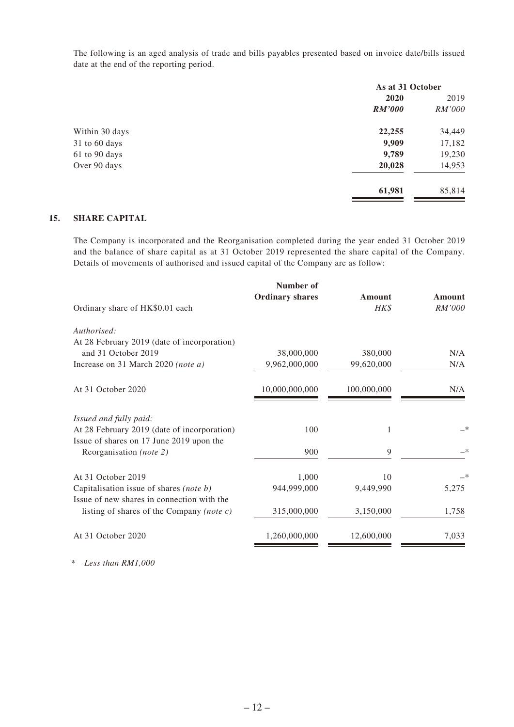The following is an aged analysis of trade and bills payables presented based on invoice date/bills issued date at the end of the reporting period.

|                |        | As at 31 October |  |
|----------------|--------|------------------|--|
|                | 2020   | 2019             |  |
|                | RM'000 | <i>RM'000</i>    |  |
| Within 30 days | 22,255 | 34,449           |  |
| 31 to 60 days  | 9,909  | 17,182           |  |
| 61 to 90 days  | 9,789  | 19,230           |  |
| Over 90 days   | 20,028 | 14,953           |  |
|                | 61,981 | 85,814           |  |

#### **15. SHARE CAPITAL**

The Company is incorporated and the Reorganisation completed during the year ended 31 October 2019 and the balance of share capital as at 31 October 2019 represented the share capital of the Company. Details of movements of authorised and issued capital of the Company are as follow:

| Number of      | Amount                 | Amount |
|----------------|------------------------|--------|
|                | HK\$                   | RM'000 |
|                |                        |        |
|                |                        |        |
| 38,000,000     | 380,000                | N/A    |
| 9,962,000,000  | 99,620,000             | N/A    |
| 10,000,000,000 | 100,000,000            | N/A    |
|                |                        |        |
| 100            | 1                      | _*     |
|                |                        |        |
| 900            | 9                      | —*     |
| 1,000          | 10                     |        |
| 944,999,000    | 9,449,990              | 5,275  |
|                |                        |        |
| 315,000,000    | 3,150,000              | 1,758  |
| 1,260,000,000  | 12,600,000             | 7,033  |
|                | <b>Ordinary shares</b> |        |

*\* Less than RM1,000*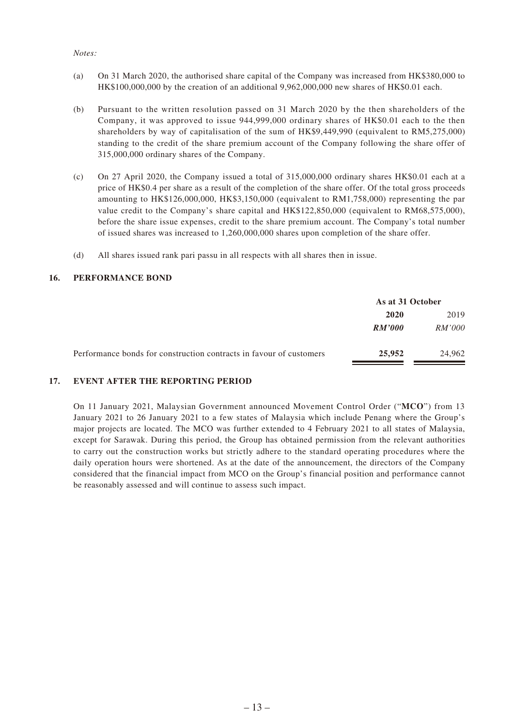#### *Notes:*

- (a) On 31 March 2020, the authorised share capital of the Company was increased from HK\$380,000 to HK\$100,000,000 by the creation of an additional 9,962,000,000 new shares of HK\$0.01 each.
- (b) Pursuant to the written resolution passed on 31 March 2020 by the then shareholders of the Company, it was approved to issue 944,999,000 ordinary shares of HK\$0.01 each to the then shareholders by way of capitalisation of the sum of HK\$9,449,990 (equivalent to RM5,275,000) standing to the credit of the share premium account of the Company following the share offer of 315,000,000 ordinary shares of the Company.
- (c) On 27 April 2020, the Company issued a total of 315,000,000 ordinary shares HK\$0.01 each at a price of HK\$0.4 per share as a result of the completion of the share offer. Of the total gross proceeds amounting to HK\$126,000,000, HK\$3,150,000 (equivalent to RM1,758,000) representing the par value credit to the Company's share capital and HK\$122,850,000 (equivalent to RM68,575,000), before the share issue expenses, credit to the share premium account. The Company's total number of issued shares was increased to 1,260,000,000 shares upon completion of the share offer.
- (d) All shares issued rank pari passu in all respects with all shares then in issue.

#### **16. PERFORMANCE BOND**

|                                                                     | As at 31 October |               |
|---------------------------------------------------------------------|------------------|---------------|
|                                                                     | 2020<br>2019     |               |
|                                                                     | RM'000           | <i>RM'000</i> |
| Performance bonds for construction contracts in favour of customers | 25,952           | 24,962        |

#### **17. EVENT AFTER THE REPORTING PERIOD**

On 11 January 2021, Malaysian Government announced Movement Control Order ("**MCO**") from 13 January 2021 to 26 January 2021 to a few states of Malaysia which include Penang where the Group's major projects are located. The MCO was further extended to 4 February 2021 to all states of Malaysia, except for Sarawak. During this period, the Group has obtained permission from the relevant authorities to carry out the construction works but strictly adhere to the standard operating procedures where the daily operation hours were shortened. As at the date of the announcement, the directors of the Company considered that the financial impact from MCO on the Group's financial position and performance cannot be reasonably assessed and will continue to assess such impact.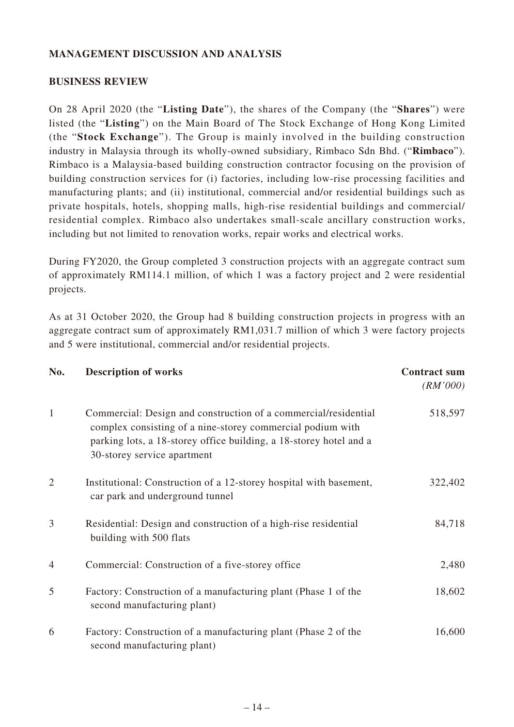### **MANAGEMENT DISCUSSION AND ANALYSIS**

### **BUSINESS REVIEW**

On 28 April 2020 (the "**Listing Date**"), the shares of the Company (the "**Shares**") were listed (the "**Listing**") on the Main Board of The Stock Exchange of Hong Kong Limited (the "**Stock Exchange**"). The Group is mainly involved in the building construction industry in Malaysia through its wholly-owned subsidiary, Rimbaco Sdn Bhd. ("**Rimbaco**"). Rimbaco is a Malaysia-based building construction contractor focusing on the provision of building construction services for (i) factories, including low-rise processing facilities and manufacturing plants; and (ii) institutional, commercial and/or residential buildings such as private hospitals, hotels, shopping malls, high-rise residential buildings and commercial/ residential complex. Rimbaco also undertakes small-scale ancillary construction works, including but not limited to renovation works, repair works and electrical works.

During FY2020, the Group completed 3 construction projects with an aggregate contract sum of approximately RM114.1 million, of which 1 was a factory project and 2 were residential projects.

As at 31 October 2020, the Group had 8 building construction projects in progress with an aggregate contract sum of approximately RM1,031.7 million of which 3 were factory projects and 5 were institutional, commercial and/or residential projects.

| No.            | <b>Description of works</b>                                                                                                                                                                                                        | <b>Contract sum</b><br>(RM'000) |
|----------------|------------------------------------------------------------------------------------------------------------------------------------------------------------------------------------------------------------------------------------|---------------------------------|
| 1              | Commercial: Design and construction of a commercial/residential<br>complex consisting of a nine-storey commercial podium with<br>parking lots, a 18-storey office building, a 18-storey hotel and a<br>30-storey service apartment | 518,597                         |
| $\overline{2}$ | Institutional: Construction of a 12-storey hospital with basement,<br>car park and underground tunnel                                                                                                                              | 322,402                         |
| 3              | Residential: Design and construction of a high-rise residential<br>building with 500 flats                                                                                                                                         | 84,718                          |
| $\overline{4}$ | Commercial: Construction of a five-storey office                                                                                                                                                                                   | 2,480                           |
| 5              | Factory: Construction of a manufacturing plant (Phase 1 of the<br>second manufacturing plant)                                                                                                                                      | 18,602                          |
| 6              | Factory: Construction of a manufacturing plant (Phase 2 of the<br>second manufacturing plant)                                                                                                                                      | 16,600                          |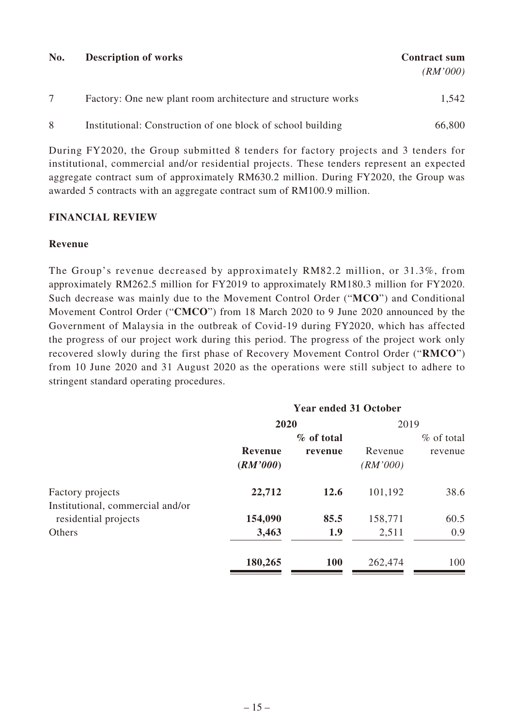| No. | <b>Description of works</b>                                  | <b>Contract sum</b><br>(RM'000) |
|-----|--------------------------------------------------------------|---------------------------------|
|     | Factory: One new plant room architecture and structure works | 1,542                           |
| 8   | Institutional: Construction of one block of school building  | 66,800                          |

During FY2020, the Group submitted 8 tenders for factory projects and 3 tenders for institutional, commercial and/or residential projects. These tenders represent an expected aggregate contract sum of approximately RM630.2 million. During FY2020, the Group was awarded 5 contracts with an aggregate contract sum of RM100.9 million.

### **FINANCIAL REVIEW**

### **Revenue**

The Group's revenue decreased by approximately RM82.2 million, or 31.3%, from approximately RM262.5 million for FY2019 to approximately RM180.3 million for FY2020. Such decrease was mainly due to the Movement Control Order ("**MCO**") and Conditional Movement Control Order ("**CMCO**") from 18 March 2020 to 9 June 2020 announced by the Government of Malaysia in the outbreak of Covid-19 during FY2020, which has affected the progress of our project work during this period. The progress of the project work only recovered slowly during the first phase of Recovery Movement Control Order ("**RMCO**") from 10 June 2020 and 31 August 2020 as the operations were still subject to adhere to stringent standard operating procedures.

| <b>Year ended 31 October</b> |            |          |               |
|------------------------------|------------|----------|---------------|
|                              |            | 2019     |               |
|                              | % of total |          | $\%$ of total |
| Revenue                      | revenue    | Revenue  | revenue       |
| (RM'000)                     |            | (RM'000) |               |
| 22,712                       | 12.6       | 101,192  | 38.6          |
|                              |            |          |               |
| 154,090                      | 85.5       | 158,771  | 60.5          |
| 3,463                        | 1.9        | 2,511    | 0.9           |
| 180,265                      | <b>100</b> | 262,474  | 100           |
|                              |            | 2020     |               |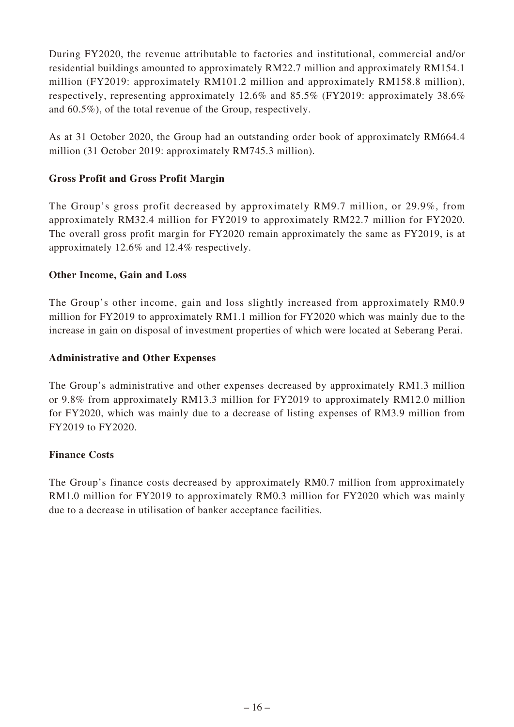During FY2020, the revenue attributable to factories and institutional, commercial and/or residential buildings amounted to approximately RM22.7 million and approximately RM154.1 million (FY2019: approximately RM101.2 million and approximately RM158.8 million), respectively, representing approximately 12.6% and 85.5% (FY2019: approximately 38.6% and 60.5%), of the total revenue of the Group, respectively.

As at 31 October 2020, the Group had an outstanding order book of approximately RM664.4 million (31 October 2019: approximately RM745.3 million).

# **Gross Profit and Gross Profit Margin**

The Group's gross profit decreased by approximately RM9.7 million, or 29.9%, from approximately RM32.4 million for FY2019 to approximately RM22.7 million for FY2020. The overall gross profit margin for FY2020 remain approximately the same as FY2019, is at approximately 12.6% and 12.4% respectively.

### **Other Income, Gain and Loss**

The Group's other income, gain and loss slightly increased from approximately RM0.9 million for FY2019 to approximately RM1.1 million for FY2020 which was mainly due to the increase in gain on disposal of investment properties of which were located at Seberang Perai.

### **Administrative and Other Expenses**

The Group's administrative and other expenses decreased by approximately RM1.3 million or 9.8% from approximately RM13.3 million for FY2019 to approximately RM12.0 million for FY2020, which was mainly due to a decrease of listing expenses of RM3.9 million from FY2019 to FY2020.

### **Finance Costs**

The Group's finance costs decreased by approximately RM0.7 million from approximately RM1.0 million for FY2019 to approximately RM0.3 million for FY2020 which was mainly due to a decrease in utilisation of banker acceptance facilities.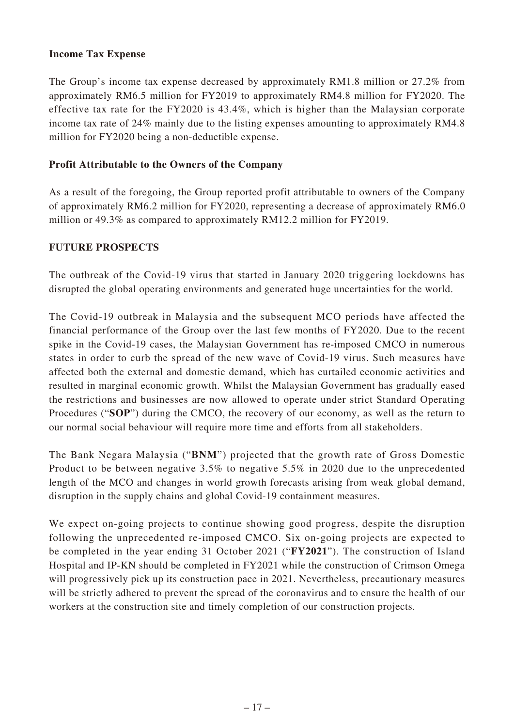### **Income Tax Expense**

The Group's income tax expense decreased by approximately RM1.8 million or 27.2% from approximately RM6.5 million for FY2019 to approximately RM4.8 million for FY2020. The effective tax rate for the FY2020 is 43.4%, which is higher than the Malaysian corporate income tax rate of 24% mainly due to the listing expenses amounting to approximately RM4.8 million for FY2020 being a non-deductible expense.

## **Profit Attributable to the Owners of the Company**

As a result of the foregoing, the Group reported profit attributable to owners of the Company of approximately RM6.2 million for FY2020, representing a decrease of approximately RM6.0 million or 49.3% as compared to approximately RM12.2 million for FY2019.

### **FUTURE PROSPECTS**

The outbreak of the Covid-19 virus that started in January 2020 triggering lockdowns has disrupted the global operating environments and generated huge uncertainties for the world.

The Covid-19 outbreak in Malaysia and the subsequent MCO periods have affected the financial performance of the Group over the last few months of FY2020. Due to the recent spike in the Covid-19 cases, the Malaysian Government has re-imposed CMCO in numerous states in order to curb the spread of the new wave of Covid-19 virus. Such measures have affected both the external and domestic demand, which has curtailed economic activities and resulted in marginal economic growth. Whilst the Malaysian Government has gradually eased the restrictions and businesses are now allowed to operate under strict Standard Operating Procedures ("**SOP**") during the CMCO, the recovery of our economy, as well as the return to our normal social behaviour will require more time and efforts from all stakeholders.

The Bank Negara Malaysia ("**BNM**") projected that the growth rate of Gross Domestic Product to be between negative 3.5% to negative 5.5% in 2020 due to the unprecedented length of the MCO and changes in world growth forecasts arising from weak global demand, disruption in the supply chains and global Covid-19 containment measures.

We expect on-going projects to continue showing good progress, despite the disruption following the unprecedented re-imposed CMCO. Six on-going projects are expected to be completed in the year ending 31 October 2021 ("**FY2021**"). The construction of Island Hospital and IP-KN should be completed in FY2021 while the construction of Crimson Omega will progressively pick up its construction pace in 2021. Nevertheless, precautionary measures will be strictly adhered to prevent the spread of the coronavirus and to ensure the health of our workers at the construction site and timely completion of our construction projects.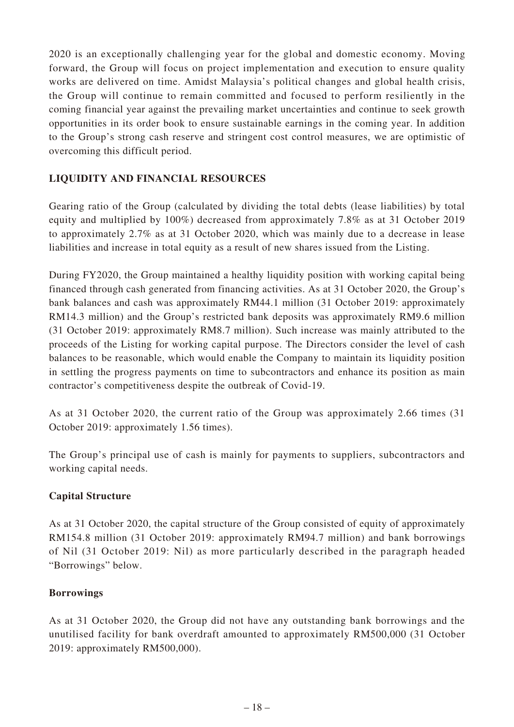2020 is an exceptionally challenging year for the global and domestic economy. Moving forward, the Group will focus on project implementation and execution to ensure quality works are delivered on time. Amidst Malaysia's political changes and global health crisis, the Group will continue to remain committed and focused to perform resiliently in the coming financial year against the prevailing market uncertainties and continue to seek growth opportunities in its order book to ensure sustainable earnings in the coming year. In addition to the Group's strong cash reserve and stringent cost control measures, we are optimistic of overcoming this difficult period.

# **LIQUIDITY AND FINANCIAL RESOURCES**

Gearing ratio of the Group (calculated by dividing the total debts (lease liabilities) by total equity and multiplied by 100%) decreased from approximately 7.8% as at 31 October 2019 to approximately 2.7% as at 31 October 2020, which was mainly due to a decrease in lease liabilities and increase in total equity as a result of new shares issued from the Listing.

During FY2020, the Group maintained a healthy liquidity position with working capital being financed through cash generated from financing activities. As at 31 October 2020, the Group's bank balances and cash was approximately RM44.1 million (31 October 2019: approximately RM14.3 million) and the Group's restricted bank deposits was approximately RM9.6 million (31 October 2019: approximately RM8.7 million). Such increase was mainly attributed to the proceeds of the Listing for working capital purpose. The Directors consider the level of cash balances to be reasonable, which would enable the Company to maintain its liquidity position in settling the progress payments on time to subcontractors and enhance its position as main contractor's competitiveness despite the outbreak of Covid-19.

As at 31 October 2020, the current ratio of the Group was approximately 2.66 times (31 October 2019: approximately 1.56 times).

The Group's principal use of cash is mainly for payments to suppliers, subcontractors and working capital needs.

### **Capital Structure**

As at 31 October 2020, the capital structure of the Group consisted of equity of approximately RM154.8 million (31 October 2019: approximately RM94.7 million) and bank borrowings of Nil (31 October 2019: Nil) as more particularly described in the paragraph headed "Borrowings" below.

### **Borrowings**

As at 31 October 2020, the Group did not have any outstanding bank borrowings and the unutilised facility for bank overdraft amounted to approximately RM500,000 (31 October 2019: approximately RM500,000).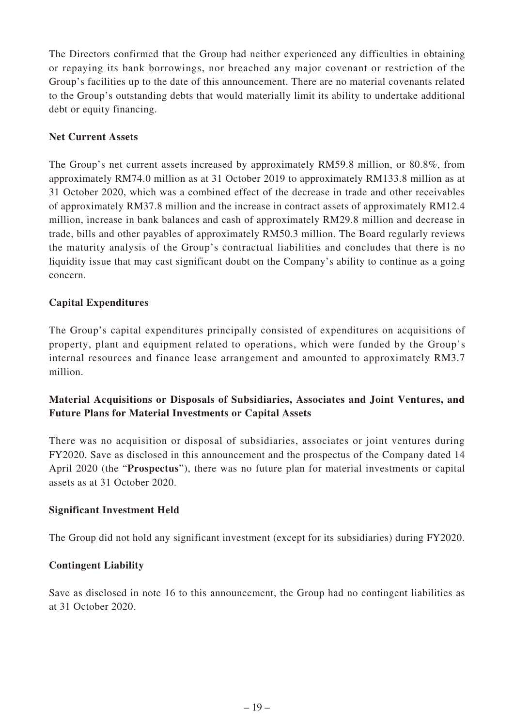The Directors confirmed that the Group had neither experienced any difficulties in obtaining or repaying its bank borrowings, nor breached any major covenant or restriction of the Group's facilities up to the date of this announcement. There are no material covenants related to the Group's outstanding debts that would materially limit its ability to undertake additional debt or equity financing.

# **Net Current Assets**

The Group's net current assets increased by approximately RM59.8 million, or 80.8%, from approximately RM74.0 million as at 31 October 2019 to approximately RM133.8 million as at 31 October 2020, which was a combined effect of the decrease in trade and other receivables of approximately RM37.8 million and the increase in contract assets of approximately RM12.4 million, increase in bank balances and cash of approximately RM29.8 million and decrease in trade, bills and other payables of approximately RM50.3 million. The Board regularly reviews the maturity analysis of the Group's contractual liabilities and concludes that there is no liquidity issue that may cast significant doubt on the Company's ability to continue as a going concern.

## **Capital Expenditures**

The Group's capital expenditures principally consisted of expenditures on acquisitions of property, plant and equipment related to operations, which were funded by the Group's internal resources and finance lease arrangement and amounted to approximately RM3.7 million.

# **Material Acquisitions or Disposals of Subsidiaries, Associates and Joint Ventures, and Future Plans for Material Investments or Capital Assets**

There was no acquisition or disposal of subsidiaries, associates or joint ventures during FY2020. Save as disclosed in this announcement and the prospectus of the Company dated 14 April 2020 (the "**Prospectus**"), there was no future plan for material investments or capital assets as at 31 October 2020.

### **Significant Investment Held**

The Group did not hold any significant investment (except for its subsidiaries) during FY2020.

### **Contingent Liability**

Save as disclosed in note 16 to this announcement, the Group had no contingent liabilities as at 31 October 2020.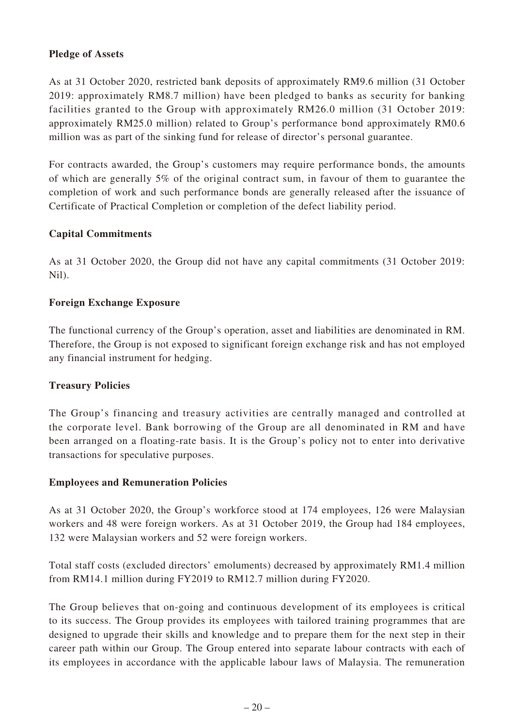## **Pledge of Assets**

As at 31 October 2020, restricted bank deposits of approximately RM9.6 million (31 October 2019: approximately RM8.7 million) have been pledged to banks as security for banking facilities granted to the Group with approximately RM26.0 million (31 October 2019: approximately RM25.0 million) related to Group's performance bond approximately RM0.6 million was as part of the sinking fund for release of director's personal guarantee.

For contracts awarded, the Group's customers may require performance bonds, the amounts of which are generally 5% of the original contract sum, in favour of them to guarantee the completion of work and such performance bonds are generally released after the issuance of Certificate of Practical Completion or completion of the defect liability period.

## **Capital Commitments**

As at 31 October 2020, the Group did not have any capital commitments (31 October 2019: Nil).

## **Foreign Exchange Exposure**

The functional currency of the Group's operation, asset and liabilities are denominated in RM. Therefore, the Group is not exposed to significant foreign exchange risk and has not employed any financial instrument for hedging.

### **Treasury Policies**

The Group's financing and treasury activities are centrally managed and controlled at the corporate level. Bank borrowing of the Group are all denominated in RM and have been arranged on a floating-rate basis. It is the Group's policy not to enter into derivative transactions for speculative purposes.

### **Employees and Remuneration Policies**

As at 31 October 2020, the Group's workforce stood at 174 employees, 126 were Malaysian workers and 48 were foreign workers. As at 31 October 2019, the Group had 184 employees, 132 were Malaysian workers and 52 were foreign workers.

Total staff costs (excluded directors' emoluments) decreased by approximately RM1.4 million from RM14.1 million during FY2019 to RM12.7 million during FY2020.

The Group believes that on-going and continuous development of its employees is critical to its success. The Group provides its employees with tailored training programmes that are designed to upgrade their skills and knowledge and to prepare them for the next step in their career path within our Group. The Group entered into separate labour contracts with each of its employees in accordance with the applicable labour laws of Malaysia. The remuneration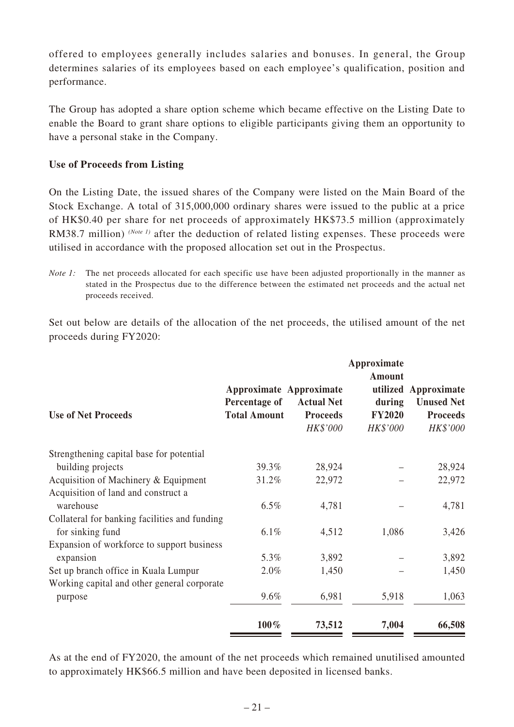offered to employees generally includes salaries and bonuses. In general, the Group determines salaries of its employees based on each employee's qualification, position and performance.

The Group has adopted a share option scheme which became effective on the Listing Date to enable the Board to grant share options to eligible participants giving them an opportunity to have a personal stake in the Company.

## **Use of Proceeds from Listing**

On the Listing Date, the issued shares of the Company were listed on the Main Board of the Stock Exchange. A total of 315,000,000 ordinary shares were issued to the public at a price of HK\$0.40 per share for net proceeds of approximately HK\$73.5 million (approximately RM38.7 million) *(Note 1)* after the deduction of related listing expenses. These proceeds were utilised in accordance with the proposed allocation set out in the Prospectus.

*Note 1:* The net proceeds allocated for each specific use have been adjusted proportionally in the manner as stated in the Prospectus due to the difference between the estimated net proceeds and the actual net proceeds received.

Set out below are details of the allocation of the net proceeds, the utilised amount of the net proceeds during FY2020:

| <b>Use of Net Proceeds</b>                    | Percentage of<br><b>Total Amount</b> | Approximate Approximate<br><b>Actual Net</b><br><b>Proceeds</b><br>HK\$'000 | Approximate<br>Amount<br>during<br><b>FY2020</b><br>HK\$'000 | utilized Approximate<br><b>Unused Net</b><br><b>Proceeds</b><br>HK\$'000 |
|-----------------------------------------------|--------------------------------------|-----------------------------------------------------------------------------|--------------------------------------------------------------|--------------------------------------------------------------------------|
| Strengthening capital base for potential      |                                      |                                                                             |                                                              |                                                                          |
| building projects                             | 39.3%                                | 28,924                                                                      |                                                              | 28,924                                                                   |
| Acquisition of Machinery & Equipment          | 31.2%                                | 22,972                                                                      |                                                              | 22,972                                                                   |
| Acquisition of land and construct a           |                                      |                                                                             |                                                              |                                                                          |
| warehouse                                     | $6.5\%$                              | 4,781                                                                       |                                                              | 4,781                                                                    |
| Collateral for banking facilities and funding |                                      |                                                                             |                                                              |                                                                          |
| for sinking fund                              | $6.1\%$                              | 4,512                                                                       | 1,086                                                        | 3,426                                                                    |
| Expansion of workforce to support business    |                                      |                                                                             |                                                              |                                                                          |
| expansion                                     | 5.3%                                 | 3,892                                                                       |                                                              | 3,892                                                                    |
| Set up branch office in Kuala Lumpur          | 2.0%                                 | 1,450                                                                       |                                                              | 1,450                                                                    |
| Working capital and other general corporate   |                                      |                                                                             |                                                              |                                                                          |
| purpose                                       | 9.6%                                 | 6,981                                                                       | 5,918                                                        | 1,063                                                                    |
|                                               | 100%                                 | 73,512                                                                      | 7,004                                                        | 66,508                                                                   |

As at the end of FY2020, the amount of the net proceeds which remained unutilised amounted to approximately HK\$66.5 million and have been deposited in licensed banks.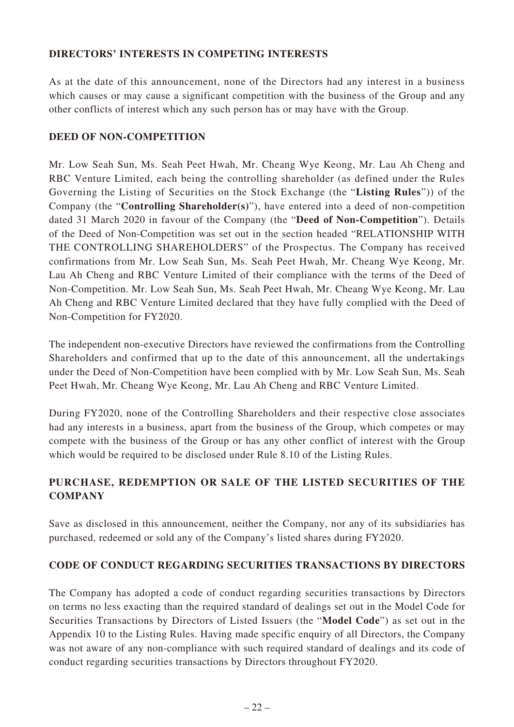# **DIRECTORS' INTERESTS IN COMPETING INTERESTS**

As at the date of this announcement, none of the Directors had any interest in a business which causes or may cause a significant competition with the business of the Group and any other conflicts of interest which any such person has or may have with the Group.

### **DEED OF NON-COMPETITION**

Mr. Low Seah Sun, Ms. Seah Peet Hwah, Mr. Cheang Wye Keong, Mr. Lau Ah Cheng and RBC Venture Limited, each being the controlling shareholder (as defined under the Rules Governing the Listing of Securities on the Stock Exchange (the "**Listing Rules**")) of the Company (the "**Controlling Shareholder(s)**"), have entered into a deed of non-competition dated 31 March 2020 in favour of the Company (the "**Deed of Non-Competition**"). Details of the Deed of Non-Competition was set out in the section headed "RELATIONSHIP WITH THE CONTROLLING SHAREHOLDERS" of the Prospectus. The Company has received confirmations from Mr. Low Seah Sun, Ms. Seah Peet Hwah, Mr. Cheang Wye Keong, Mr. Lau Ah Cheng and RBC Venture Limited of their compliance with the terms of the Deed of Non-Competition. Mr. Low Seah Sun, Ms. Seah Peet Hwah, Mr. Cheang Wye Keong, Mr. Lau Ah Cheng and RBC Venture Limited declared that they have fully complied with the Deed of Non-Competition for FY2020.

The independent non-executive Directors have reviewed the confirmations from the Controlling Shareholders and confirmed that up to the date of this announcement, all the undertakings under the Deed of Non-Competition have been complied with by Mr. Low Seah Sun, Ms. Seah Peet Hwah, Mr. Cheang Wye Keong, Mr. Lau Ah Cheng and RBC Venture Limited.

During FY2020, none of the Controlling Shareholders and their respective close associates had any interests in a business, apart from the business of the Group, which competes or may compete with the business of the Group or has any other conflict of interest with the Group which would be required to be disclosed under Rule 8.10 of the Listing Rules.

# **PURCHASE, REDEMPTION OR SALE OF THE LISTED SECURITIES OF THE COMPANY**

Save as disclosed in this announcement, neither the Company, nor any of its subsidiaries has purchased, redeemed or sold any of the Company's listed shares during FY2020.

# **CODE OF CONDUCT REGARDING SECURITIES TRANSACTIONS BY DIRECTORS**

The Company has adopted a code of conduct regarding securities transactions by Directors on terms no less exacting than the required standard of dealings set out in the Model Code for Securities Transactions by Directors of Listed Issuers (the "**Model Code**") as set out in the Appendix 10 to the Listing Rules. Having made specific enquiry of all Directors, the Company was not aware of any non-compliance with such required standard of dealings and its code of conduct regarding securities transactions by Directors throughout FY2020.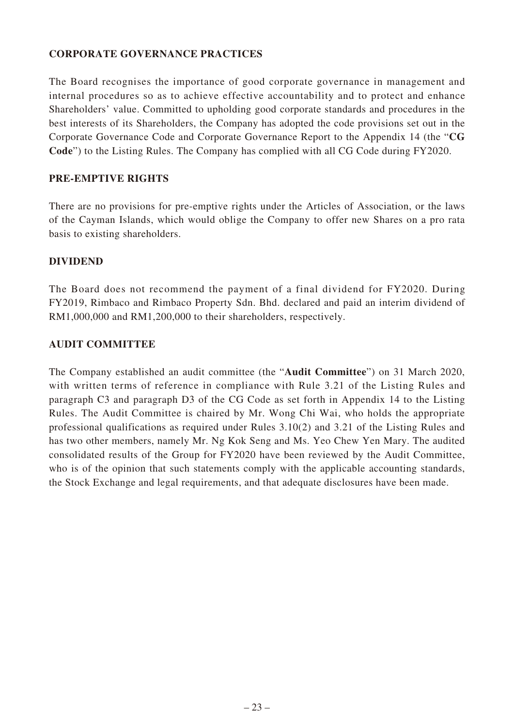### **CORPORATE GOVERNANCE PRACTICES**

The Board recognises the importance of good corporate governance in management and internal procedures so as to achieve effective accountability and to protect and enhance Shareholders' value. Committed to upholding good corporate standards and procedures in the best interests of its Shareholders, the Company has adopted the code provisions set out in the Corporate Governance Code and Corporate Governance Report to the Appendix 14 (the "**CG Code**") to the Listing Rules. The Company has complied with all CG Code during FY2020.

### **PRE-EMPTIVE RIGHTS**

There are no provisions for pre-emptive rights under the Articles of Association, or the laws of the Cayman Islands, which would oblige the Company to offer new Shares on a pro rata basis to existing shareholders.

#### **DIVIDEND**

The Board does not recommend the payment of a final dividend for FY2020. During FY2019, Rimbaco and Rimbaco Property Sdn. Bhd. declared and paid an interim dividend of RM1,000,000 and RM1,200,000 to their shareholders, respectively.

#### **AUDIT COMMITTEE**

The Company established an audit committee (the "**Audit Committee**") on 31 March 2020, with written terms of reference in compliance with Rule 3.21 of the Listing Rules and paragraph C3 and paragraph D3 of the CG Code as set forth in Appendix 14 to the Listing Rules. The Audit Committee is chaired by Mr. Wong Chi Wai, who holds the appropriate professional qualifications as required under Rules 3.10(2) and 3.21 of the Listing Rules and has two other members, namely Mr. Ng Kok Seng and Ms. Yeo Chew Yen Mary. The audited consolidated results of the Group for FY2020 have been reviewed by the Audit Committee, who is of the opinion that such statements comply with the applicable accounting standards, the Stock Exchange and legal requirements, and that adequate disclosures have been made.